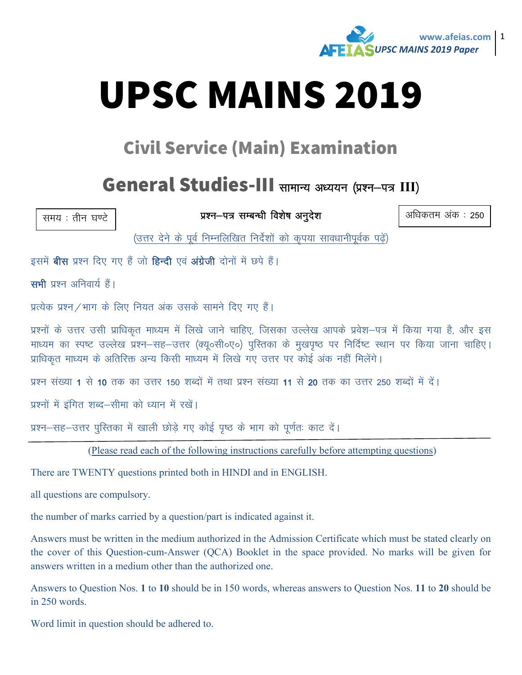

# **UPSC MAINS 2019**

### **Civil Service (Main) Examination**

#### General Studies-III सामान्य अध्ययन (प्रश्न-पत्र III)

समय: तीन घण्टे

प्रश्न-पत्र सम्बन्धी विशेष अनुदेश

अधिकतम अंक : 250

(उत्तर देने के पूर्व निम्नलिखित निर्देशों को कृपया सावधानीपूर्वक पढ़ें)

इसमें बीस प्रश्न दिए गए हैं जो हिन्दी एवं अंग्रेजी दोनों में छपे हैं।

सभी प्रश्न अनिवार्य हैं।

प्रत्येक प्रश्न /भाग के लिए नियत अंक उसके सामने दिए गए हैं।

प्रश्नों के उत्तर उसी प्राधिकृत माध्यम में लिखे जाने चाहिए, जिसका उल्लेख आपके प्रवेश–पत्र में किया गया है, और इस माध्यम का स्पष्ट उल्लेख प्रश्न–सह–उत्तर (क्यू०सी०ए०) पुस्तिका के मुखपृष्ठ पर निर्दिष्ट स्थान पर किया जाना चाहिए। प्राधिकृत माध्यम के अतिरिक्त अन्य किसी माध्यम में लिखे गए उत्तर पर कोई अंक नहीं मिलेंगे।

प्रश्न संख्या 1 से 10 तक का उत्तर 150 शब्दों में तथा प्रश्न संख्या 11 से 20 तक का उत्तर 250 शब्दों में दें।

प्रश्नों में इंगित शब्द–सीमा को ध्यान में रखें।

प्रश्न-सह-उत्तर पुस्तिका में खाली छोड़े गए कोई पृष्ठ के भाग को पूर्णतः काट दें।

(Please read each of the following instructions carefully before attempting questions)

There are TWENTY questions printed both in HINDI and in ENGLISH.

all questions are compulsory.

the number of marks carried by a question/part is indicated against it.

Answers must be written in the medium authorized in the Admission Certificate which must be stated clearly on the cover of this Question-cum-Answer (QCA) Booklet in the space provided. No marks will be given for answers written in a medium other than the authorized one.

Answers to Question Nos. 1 to 10 should be in 150 words, whereas answers to Question Nos. 11 to 20 should be in 250 words.

Word limit in question should be adhered to.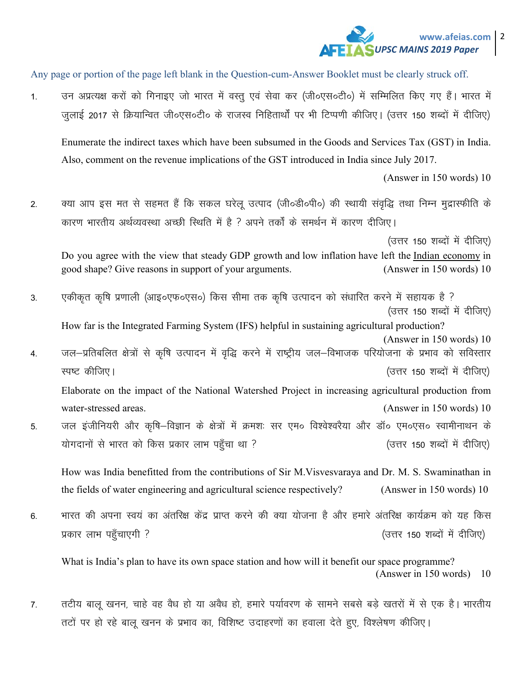#### www.afeias.com | 2 **UPSC MAINS 2019 Paper**

Any page or portion of the page left blank in the Question-cum-Answer Booklet must be clearly struck off.

उन अप्रत्यक्ष करों को गिनाइए जो भारत में वस्तू एवं सेवा कर (जी०एस०टी०) में सम्मिलित किए गए हैं। भारत में  $1.$ जुलाई 2017 से क्रियान्वित जी०एस०टी० के राजस्व निहितार्थों पर भी टिप्पणी कीजिए। (उत्तर 150 शब्दों में दीजिए)

Enumerate the indirect taxes which have been subsumed in the Goods and Services Tax (GST) in India. Also, comment on the revenue implications of the GST introduced in India since July 2017.

(Answer in 150 words) 10

क्या आप इस मत से सहमत हैं कि सकल घरेलू उत्पाद (जी॰डी॰पी॰) की स्थायी संवृद्धि तथा निम्न मुद्रास्फीति के  $\overline{2}$ . कारण भारतीय अर्थव्यवस्था अच्छी स्थिति में है ? अपने तर्कों के समर्थन में कारण दीजिए।

(उत्तर 150 शब्दों में दीजिए)

Do you agree with the view that steady GDP growth and low inflation have left the Indian economy in (Answer in 150 words) 10 good shape? Give reasons in support of your arguments.

एकीकृत कृषि प्रणाली (आइ०एफ०एस०) किस सीमा तक कृषि उत्पादन को संधारित करने में सहायक है ? 3 (उत्तर 150 शब्दों में दीजिए)

How far is the Integrated Farming System (IFS) helpful in sustaining agricultural production? (Answer in 150 words) 10 जल-प्रतिबलित क्षेत्रों से कृषि उत्पादन में वृद्धि करने में राष्ट्रीय जल-विभाजक परियोजना के प्रभाव को सविस्तार

- $\overline{4}$ . स्पष्ट कीजिए। (उत्तर 150 शब्दों में दीजिए) Elaborate on the impact of the National Watershed Project in increasing agricultural production from water-stressed areas. (Answer in 150 words) 10
- जल इंजीनियरी और कृषि-विज्ञान के क्षेत्रों में क्रमशः सर एम० विश्वेश्वरैया और डॉ० एम०एस० स्वामीनाथन के 5. योगदानों से भारत को किस प्रकार लाभ पहुँचा था ? (उत्तर 150 शब्दों में दीजिए)

How was India benefitted from the contributions of Sir M. Visvesvaraya and Dr. M. S. Swaminathan in the fields of water engineering and agricultural science respectively? (Answer in 150 words) 10

भारत की अपना स्वयं का अंतरिक्ष केंद्र प्राप्त करने की क्या योजना है और हमारे अंतरिक्ष कार्यक्रम को यह किस  $6.$ प्रकार लाभ पहुँचाएगी ? (उत्तर 150 शब्दों में दीजिए)

What is India's plan to have its own space station and how will it benefit our space programme? (Answer in 150 words) 10

तटीय बालू खनन, चाहे वह वैध हो या अवैध हो, हमारे पर्यावरण के सामने सबसे बड़े खतरों में से एक है। भारतीय 7. तटों पर हो रहे बालू खनन के प्रभाव का, विशिष्ट उदाहरणों का हवाला देते हुए, विश्लेषण कीजिए।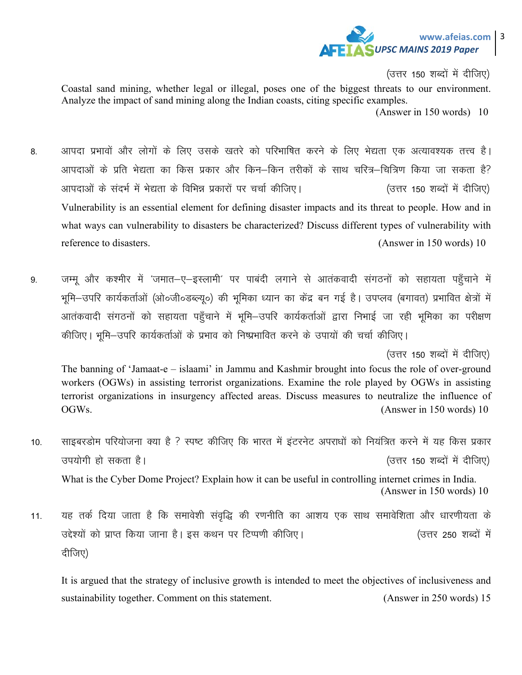

(उत्तर 150 शब्दों में दीजिए)

Coastal sand mining, whether legal or illegal, poses one of the biggest threats to our environment. Analyze the impact of sand mining along the Indian coasts, citing specific examples.

(Answer in 150 words) 10

- 8. आपदा प्रभावों और लोगों के लिए उसके खतरे को परिभाषित करने के लिए भेद्यता एक अत्यावश्यक तत्त्व है। आपदाओं के प्रति भेद्यता का किस प्रकार और किन–किन तरीकों के साथ चरित्र–चित्रिण किया जा सकता है? आपदाओं के संदर्भ में भेद्यता के विभिन्न प्रकारों पर चर्चा कीजिए। (उत्तर 150 शब्दों में दीजिए) Vulnerability is an essential element for defining disaster impacts and its threat to people. How and in what ways can vulnerability to disasters be characterized? Discuss different types of vulnerability with reference to disasters. (Answer in 150 words) 10
- 9. जम्म और कश्मीर में 'जमात–ए–इस्लामी' पर पाबंदी लगाने से आतंकवादी संगठनों को सहायता पहँचाने में भूमि-उपरि कार्यकर्ताओं (ओ०जी०डब्ल्यु०) की भूमिका ध्यान का केंद्र बन गई है। उपप्लव (बगावत) प्रभावित क्षेत्रों में आतंकवादी संगठनों को सहायता पहुँचाने में भूमि–उपरि कार्यकर्ताओं द्वारा निभाई जा रही भूमिका का परीक्षण कीजिए। भूमि-उपरि कार्यकर्ताओं के प्रभाव को निष्प्रभावित करने के उपायों की चर्चा कीजिए।

(उत्तर 150 शब्दों में दीजिए)

The banning of 'Jamaat-e – islaami' in Jammu and Kashmir brought into focus the role of over-ground workers (OGWs) in assisting terrorist organizations. Examine the role played by OGWs in assisting terrorist organizations in insurgency affected areas. Discuss measures to neutralize the influence of OGWs. (Answer in 150 words) 10

10. साइबरडोम परियोजना क्या है ? स्पष्ट कीजिए कि भारत में इंटरनेट अपराधों को नियंत्रित करने में यह किस प्रकार mi;ksxh gks ldrk gSA ¼mŸkj 150 'kCnksa esa nhft,½ What is the Cyber Dome Project? Explain how it can be useful in controlling internet crimes in India.

(Answer in 150 words) 10

11. यह तर्क दिया जाता है कि समावेशी संवृद्धि की रणनीति का आशय एक साथ समावेशिता और धारणीयता के उद्देश्यों को प्राप्त किया जाना है। इस कथन पर टिप्पणी कीजिए। (उत्तर 250 शब्दों में दीजिए)

It is argued that the strategy of inclusive growth is intended to meet the objectives of inclusiveness and sustainability together. Comment on this statement. (Answer in 250 words) 15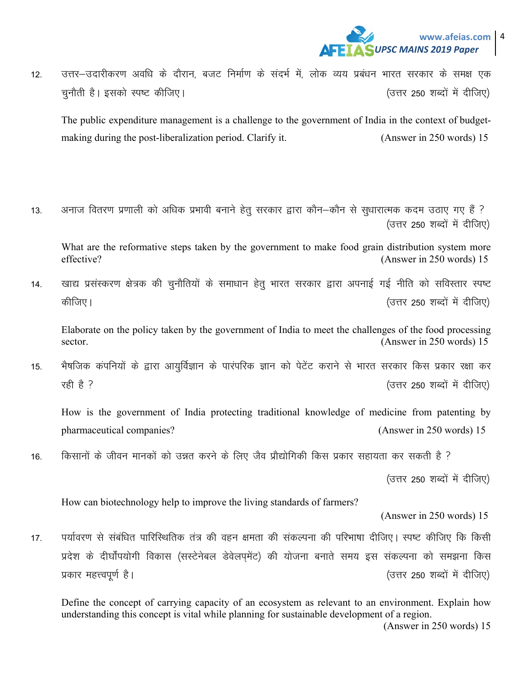

12. वित्तर-उदारीकरण अवधि के दौरान, बजट निर्माण के संदर्भ में, लोक व्यय प्रबंधन भारत सरकार के समक्ष एक pqukSrh gSA bldks Li"V dhft,A ¼mŸkj 250 'kCnksa esa nhft,½

The public expenditure management is a challenge to the government of India in the context of budgetmaking during the post-liberalization period. Clarify it. (Answer in 250 words) 15

13. अनाज वितरण प्रणाली को अधिक प्रभावी बनाने हेतू सरकार द्वारा कौन–कौन से सुधारात्मक कदम उठाए गए हैं ? (उत्तर 250 शब्दों में दीजिए)

What are the reformative steps taken by the government to make food grain distribution system more effective? (Answer in 250 words) 15

14. व्याद्य प्रसंस्करण क्षेत्रक की चुनौतियों के समाधान हेतु भारत सरकार द्वारा अपनाई गई नीति को सविस्तार स्पष्ट dhft,A ¼mŸkj 250 'kCnksa esa nhft,½

Elaborate on the policy taken by the government of India to meet the challenges of the food processing sector. (Answer in 250 words) 15

15. भैषजिक कंपनियों के द्वारा आयुर्विज्ञान के पारंपरिक ज्ञान को पेटेंट कराने से भारत सरकार किस प्रकार रक्षा कर jgh gS \ ¼mŸkj 250 'kCnksa esa nhft,½

How is the government of India protecting traditional knowledge of medicine from patenting by pharmaceutical companies? (Answer in 250 words) 15

16. वििसानों के जीवन मानकों को उन्नत करने के लिए जैव प्रौद्योगिकी किस प्रकार सहायता कर सकती है ?

(उत्तर 250 शब्दों में दीजिए)

How can biotechnology help to improve the living standards of farmers?

(Answer in 250 words) 15

17. पर्यावरण से संबंधित पारिस्थितिक तंत्र की वहन क्षमता की संकल्पना की परिभाषा दीजिए। स्पष्ट कीजिए कि किसी प्रदेश के दीर्घोंपयोगी विकास (सस्टेनेबल डेवेलप्मेंट) की योजना बनाते समय इस संकल्पना को समझना किस izdkj egŸoiw.kZ gSA ¼mŸkj 250 'kCnksa esa nhft,½

Define the concept of carrying capacity of an ecosystem as relevant to an environment. Explain how understanding this concept is vital while planning for sustainable development of a region.

(Answer in 250 words) 15